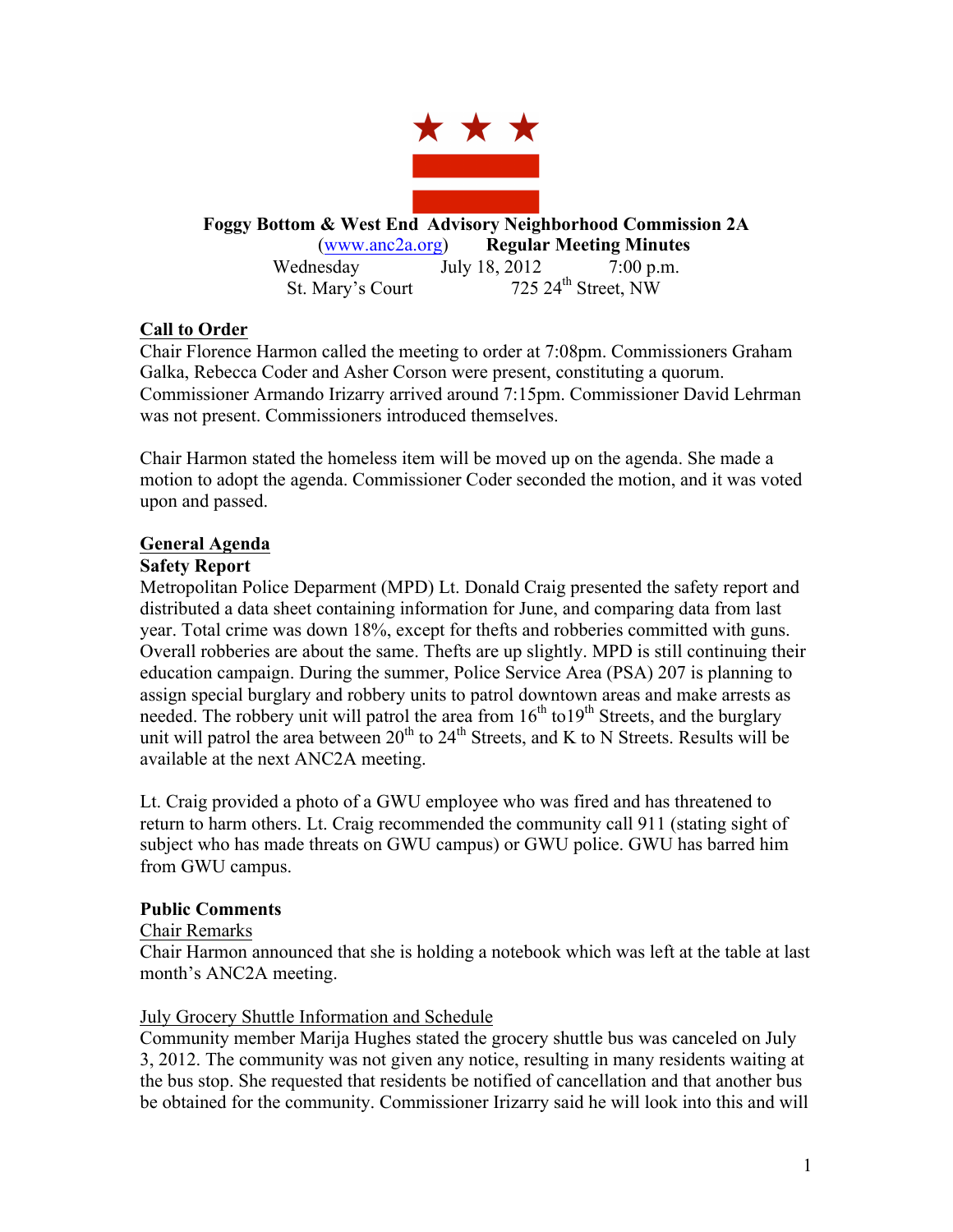

**Foggy Bottom & West End Advisory Neighborhood Commission 2A** (www.anc2a.org) **Regular Meeting Minutes** Wednesday July 18, 2012 7:00 p.m.

St. Mary's Court  $725.24^{\text{th}}$  Street, NW

# **Call to Order**

Chair Florence Harmon called the meeting to order at 7:08pm. Commissioners Graham Galka, Rebecca Coder and Asher Corson were present, constituting a quorum. Commissioner Armando Irizarry arrived around 7:15pm. Commissioner David Lehrman was not present. Commissioners introduced themselves.

Chair Harmon stated the homeless item will be moved up on the agenda. She made a motion to adopt the agenda. Commissioner Coder seconded the motion, and it was voted upon and passed.

# **General Agenda**

# **Safety Report**

Metropolitan Police Deparment (MPD) Lt. Donald Craig presented the safety report and distributed a data sheet containing information for June, and comparing data from last year. Total crime was down 18%, except for thefts and robberies committed with guns. Overall robberies are about the same. Thefts are up slightly. MPD is still continuing their education campaign. During the summer, Police Service Area (PSA) 207 is planning to assign special burglary and robbery units to patrol downtown areas and make arrests as needed. The robbery unit will patrol the area from  $16<sup>th</sup>$  to  $19<sup>th</sup>$  Streets, and the burglary unit will patrol the area between  $20^{th}$  to  $24^{th}$  Streets, and K to N Streets. Results will be available at the next ANC2A meeting.

Lt. Craig provided a photo of a GWU employee who was fired and has threatened to return to harm others. Lt. Craig recommended the community call 911 (stating sight of subject who has made threats on GWU campus) or GWU police. GWU has barred him from GWU campus.

#### **Public Comments**

#### Chair Remarks

Chair Harmon announced that she is holding a notebook which was left at the table at last month's ANC2A meeting.

# July Grocery Shuttle Information and Schedule

Community member Marija Hughes stated the grocery shuttle bus was canceled on July 3, 2012. The community was not given any notice, resulting in many residents waiting at the bus stop. She requested that residents be notified of cancellation and that another bus be obtained for the community. Commissioner Irizarry said he will look into this and will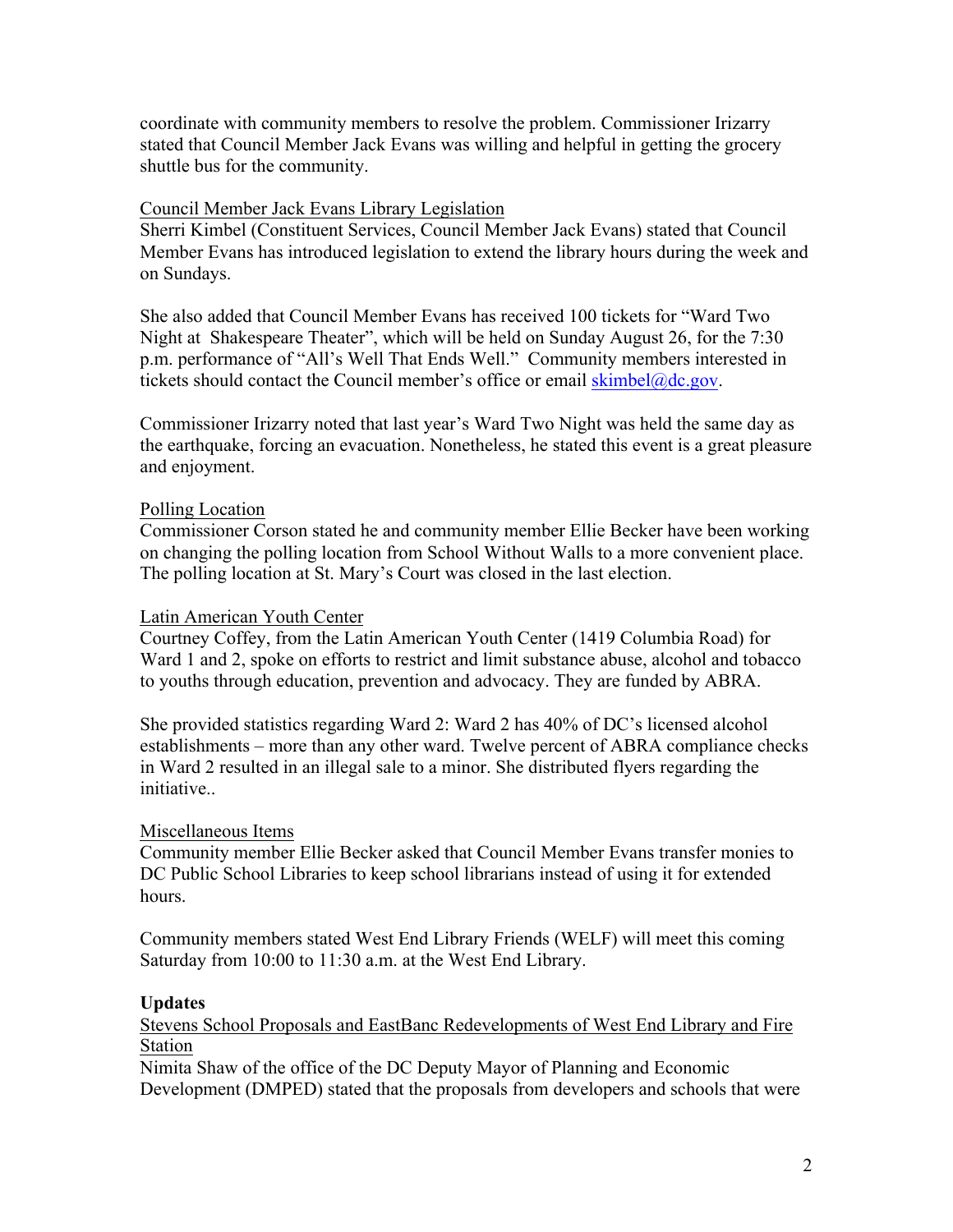coordinate with community members to resolve the problem. Commissioner Irizarry stated that Council Member Jack Evans was willing and helpful in getting the grocery shuttle bus for the community.

## Council Member Jack Evans Library Legislation

Sherri Kimbel (Constituent Services, Council Member Jack Evans) stated that Council Member Evans has introduced legislation to extend the library hours during the week and on Sundays.

She also added that Council Member Evans has received 100 tickets for "Ward Two Night at Shakespeare Theater", which will be held on Sunday August 26, for the 7:30 p.m. performance of "All's Well That Ends Well." Community members interested in tickets should contact the Council member's office or email  $\frac{\text{skimbel@dc.gov}}{\text{skimbel@dc.gov}}$ .

Commissioner Irizarry noted that last year's Ward Two Night was held the same day as the earthquake, forcing an evacuation. Nonetheless, he stated this event is a great pleasure and enjoyment.

# Polling Location

Commissioner Corson stated he and community member Ellie Becker have been working on changing the polling location from School Without Walls to a more convenient place. The polling location at St. Mary's Court was closed in the last election.

#### Latin American Youth Center

Courtney Coffey, from the Latin American Youth Center (1419 Columbia Road) for Ward 1 and 2, spoke on efforts to restrict and limit substance abuse, alcohol and tobacco to youths through education, prevention and advocacy. They are funded by ABRA.

She provided statistics regarding Ward 2: Ward 2 has 40% of DC's licensed alcohol establishments – more than any other ward. Twelve percent of ABRA compliance checks in Ward 2 resulted in an illegal sale to a minor. She distributed flyers regarding the initiative..

#### Miscellaneous Items

Community member Ellie Becker asked that Council Member Evans transfer monies to DC Public School Libraries to keep school librarians instead of using it for extended hours.

Community members stated West End Library Friends (WELF) will meet this coming Saturday from 10:00 to 11:30 a.m. at the West End Library.

# **Updates**

Stevens School Proposals and EastBanc Redevelopments of West End Library and Fire Station

Nimita Shaw of the office of the DC Deputy Mayor of Planning and Economic Development (DMPED) stated that the proposals from developers and schools that were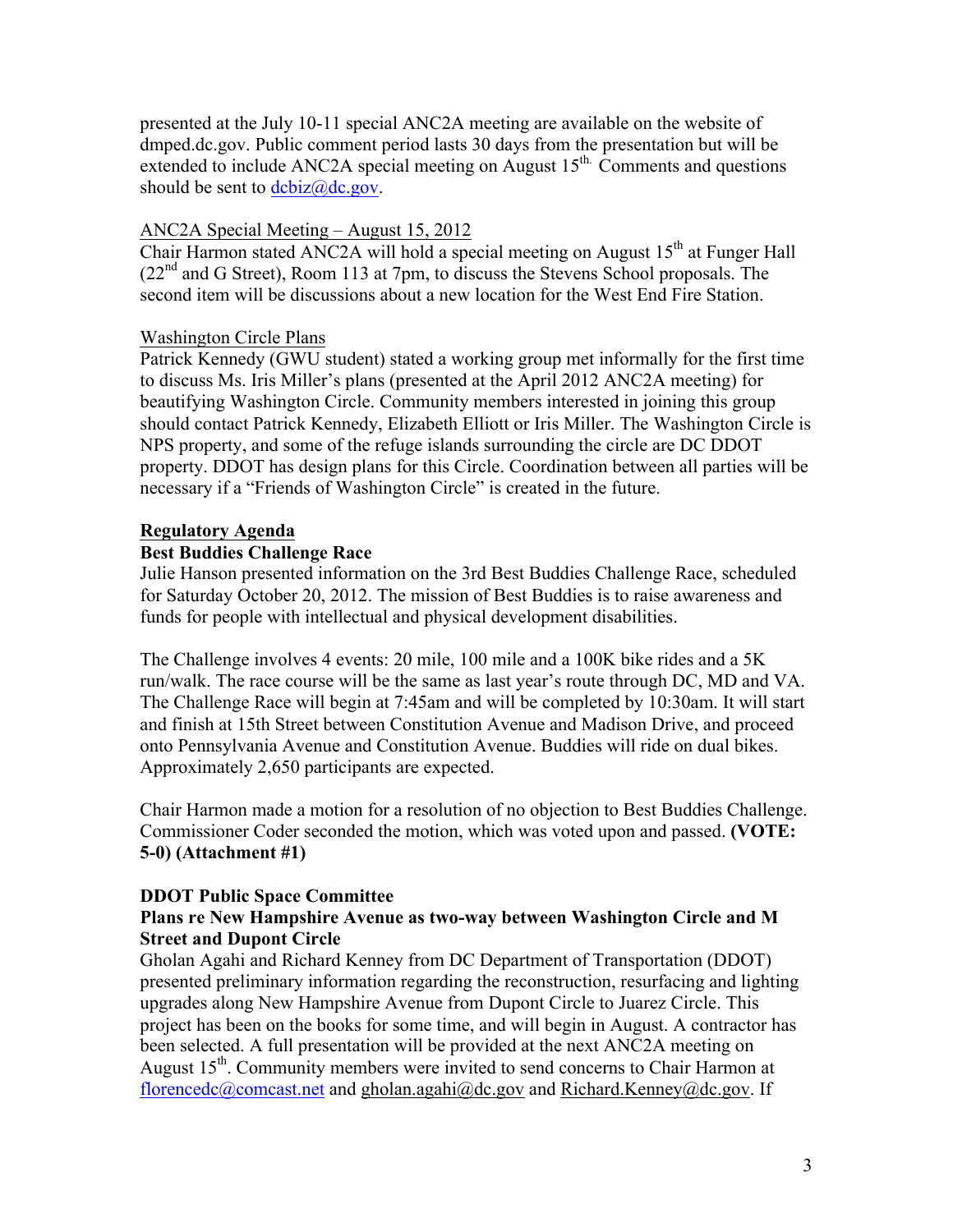presented at the July 10-11 special ANC2A meeting are available on the website of dmped.dc.gov. Public comment period lasts 30 days from the presentation but will be extended to include ANC2A special meeting on August 15<sup>th.</sup> Comments and questions should be sent to  $dcbiz@dc.gov$ .

# ANC2A Special Meeting – August 15, 2012

Chair Harmon stated ANC2A will hold a special meeting on August  $15<sup>th</sup>$  at Funger Hall  $(22<sup>nd</sup>$  and G Street), Room 113 at 7pm, to discuss the Stevens School proposals. The second item will be discussions about a new location for the West End Fire Station.

# Washington Circle Plans

Patrick Kennedy (GWU student) stated a working group met informally for the first time to discuss Ms. Iris Miller's plans (presented at the April 2012 ANC2A meeting) for beautifying Washington Circle. Community members interested in joining this group should contact Patrick Kennedy, Elizabeth Elliott or Iris Miller. The Washington Circle is NPS property, and some of the refuge islands surrounding the circle are DC DDOT property. DDOT has design plans for this Circle. Coordination between all parties will be necessary if a "Friends of Washington Circle" is created in the future.

# **Regulatory Agenda**

# **Best Buddies Challenge Race**

Julie Hanson presented information on the 3rd Best Buddies Challenge Race, scheduled for Saturday October 20, 2012. The mission of Best Buddies is to raise awareness and funds for people with intellectual and physical development disabilities.

The Challenge involves 4 events: 20 mile, 100 mile and a 100K bike rides and a 5K run/walk. The race course will be the same as last year's route through DC, MD and VA. The Challenge Race will begin at 7:45am and will be completed by 10:30am. It will start and finish at 15th Street between Constitution Avenue and Madison Drive, and proceed onto Pennsylvania Avenue and Constitution Avenue. Buddies will ride on dual bikes. Approximately 2,650 participants are expected.

Chair Harmon made a motion for a resolution of no objection to Best Buddies Challenge. Commissioner Coder seconded the motion, which was voted upon and passed. **(VOTE: 5-0) (Attachment #1)**

# **DDOT Public Space Committee**

# **Plans re New Hampshire Avenue as two-way between Washington Circle and M Street and Dupont Circle**

Gholan Agahi and Richard Kenney from DC Department of Transportation (DDOT) presented preliminary information regarding the reconstruction, resurfacing and lighting upgrades along New Hampshire Avenue from Dupont Circle to Juarez Circle. This project has been on the books for some time, and will begin in August. A contractor has been selected. A full presentation will be provided at the next ANC2A meeting on August  $15<sup>th</sup>$ . Community members were invited to send concerns to Chair Harmon at florencedc@comcast.net and gholan.agahi@dc.gov and Richard.Kenney@dc.gov. If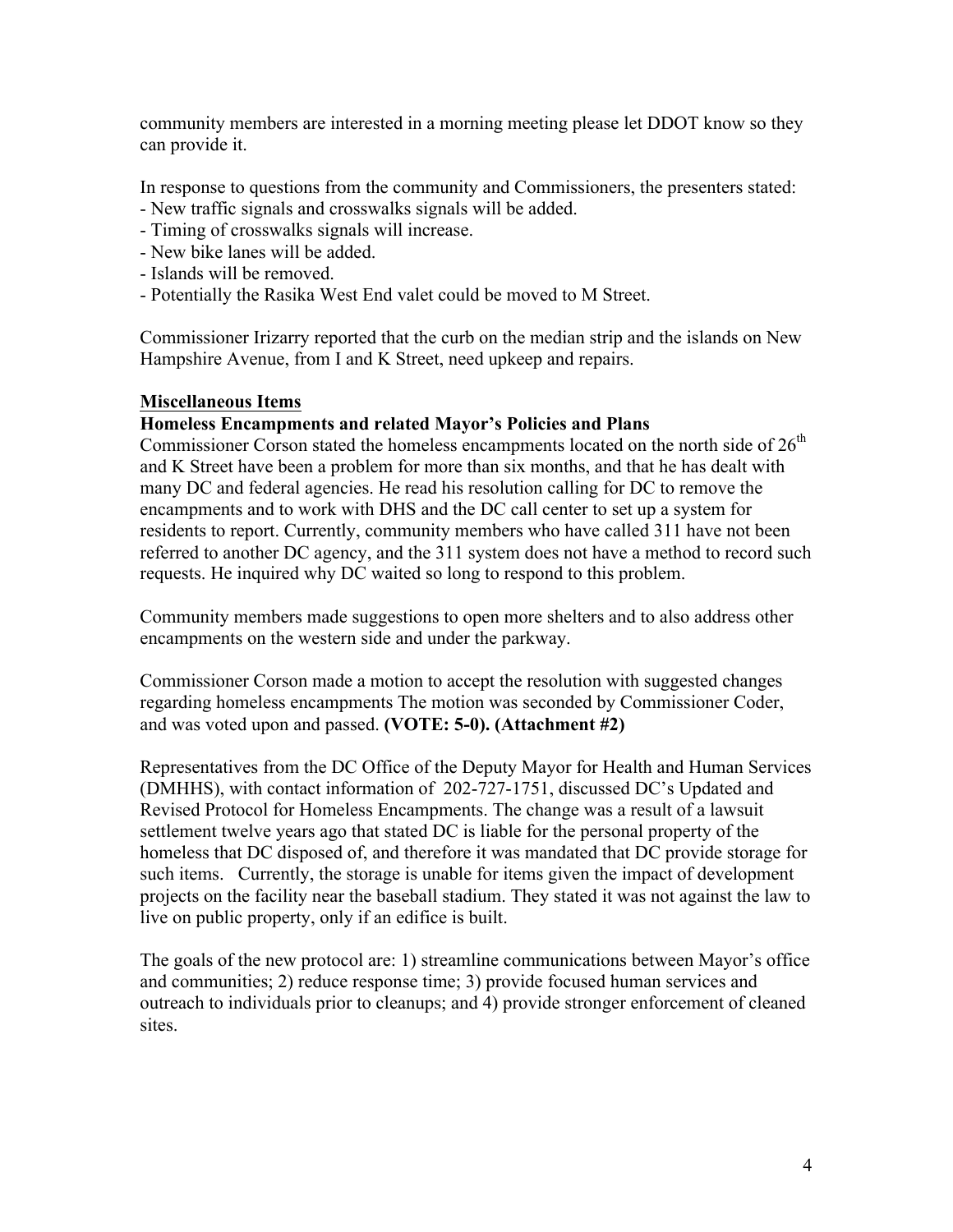community members are interested in a morning meeting please let DDOT know so they can provide it.

In response to questions from the community and Commissioners, the presenters stated: - New traffic signals and crosswalks signals will be added.

- Timing of crosswalks signals will increase.
- New bike lanes will be added.
- Islands will be removed.
- Potentially the Rasika West End valet could be moved to M Street.

Commissioner Irizarry reported that the curb on the median strip and the islands on New Hampshire Avenue, from I and K Street, need upkeep and repairs.

# **Miscellaneous Items**

#### **Homeless Encampments and related Mayor's Policies and Plans**

Commissioner Corson stated the homeless encampments located on the north side of  $26<sup>th</sup>$ and K Street have been a problem for more than six months, and that he has dealt with many DC and federal agencies. He read his resolution calling for DC to remove the encampments and to work with DHS and the DC call center to set up a system for residents to report. Currently, community members who have called 311 have not been referred to another DC agency, and the 311 system does not have a method to record such requests. He inquired why DC waited so long to respond to this problem.

Community members made suggestions to open more shelters and to also address other encampments on the western side and under the parkway.

Commissioner Corson made a motion to accept the resolution with suggested changes regarding homeless encampments The motion was seconded by Commissioner Coder, and was voted upon and passed. **(VOTE: 5-0). (Attachment #2)**

Representatives from the DC Office of the Deputy Mayor for Health and Human Services (DMHHS), with contact information of 202-727-1751, discussed DC's Updated and Revised Protocol for Homeless Encampments. The change was a result of a lawsuit settlement twelve years ago that stated DC is liable for the personal property of the homeless that DC disposed of, and therefore it was mandated that DC provide storage for such items. Currently, the storage is unable for items given the impact of development projects on the facility near the baseball stadium. They stated it was not against the law to live on public property, only if an edifice is built.

The goals of the new protocol are: 1) streamline communications between Mayor's office and communities; 2) reduce response time; 3) provide focused human services and outreach to individuals prior to cleanups; and 4) provide stronger enforcement of cleaned sites.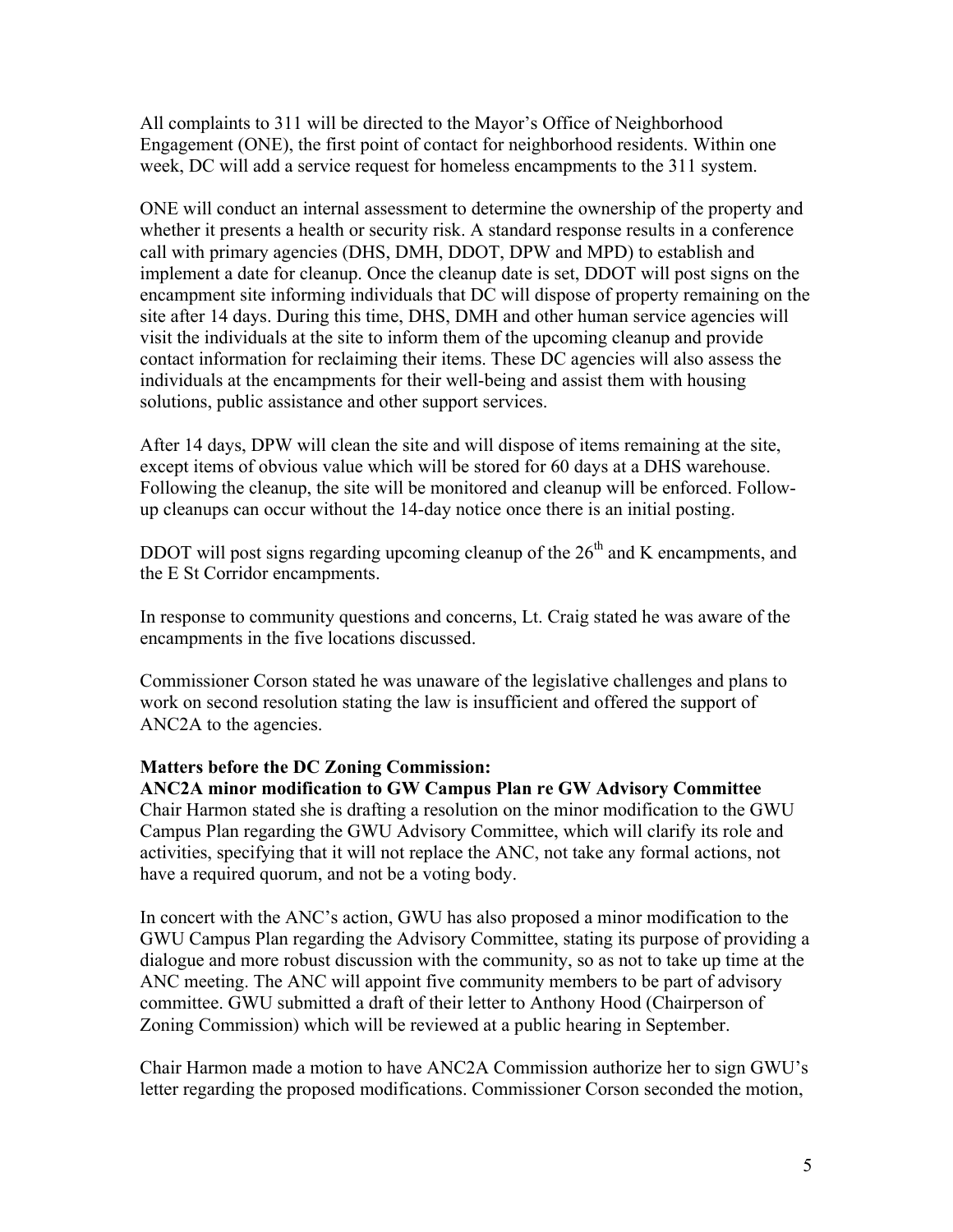All complaints to 311 will be directed to the Mayor's Office of Neighborhood Engagement (ONE), the first point of contact for neighborhood residents. Within one week, DC will add a service request for homeless encampments to the 311 system.

ONE will conduct an internal assessment to determine the ownership of the property and whether it presents a health or security risk. A standard response results in a conference call with primary agencies (DHS, DMH, DDOT, DPW and MPD) to establish and implement a date for cleanup. Once the cleanup date is set, DDOT will post signs on the encampment site informing individuals that DC will dispose of property remaining on the site after 14 days. During this time, DHS, DMH and other human service agencies will visit the individuals at the site to inform them of the upcoming cleanup and provide contact information for reclaiming their items. These DC agencies will also assess the individuals at the encampments for their well-being and assist them with housing solutions, public assistance and other support services.

After 14 days, DPW will clean the site and will dispose of items remaining at the site, except items of obvious value which will be stored for 60 days at a DHS warehouse. Following the cleanup, the site will be monitored and cleanup will be enforced. Followup cleanups can occur without the 14-day notice once there is an initial posting.

DDOT will post signs regarding upcoming cleanup of the  $26<sup>th</sup>$  and K encampments, and the E St Corridor encampments.

In response to community questions and concerns, Lt. Craig stated he was aware of the encampments in the five locations discussed.

Commissioner Corson stated he was unaware of the legislative challenges and plans to work on second resolution stating the law is insufficient and offered the support of ANC2A to the agencies.

#### **Matters before the DC Zoning Commission:**

**ANC2A minor modification to GW Campus Plan re GW Advisory Committee**

Chair Harmon stated she is drafting a resolution on the minor modification to the GWU Campus Plan regarding the GWU Advisory Committee, which will clarify its role and activities, specifying that it will not replace the ANC, not take any formal actions, not have a required quorum, and not be a voting body.

In concert with the ANC's action, GWU has also proposed a minor modification to the GWU Campus Plan regarding the Advisory Committee, stating its purpose of providing a dialogue and more robust discussion with the community, so as not to take up time at the ANC meeting. The ANC will appoint five community members to be part of advisory committee. GWU submitted a draft of their letter to Anthony Hood (Chairperson of Zoning Commission) which will be reviewed at a public hearing in September.

Chair Harmon made a motion to have ANC2A Commission authorize her to sign GWU's letter regarding the proposed modifications. Commissioner Corson seconded the motion,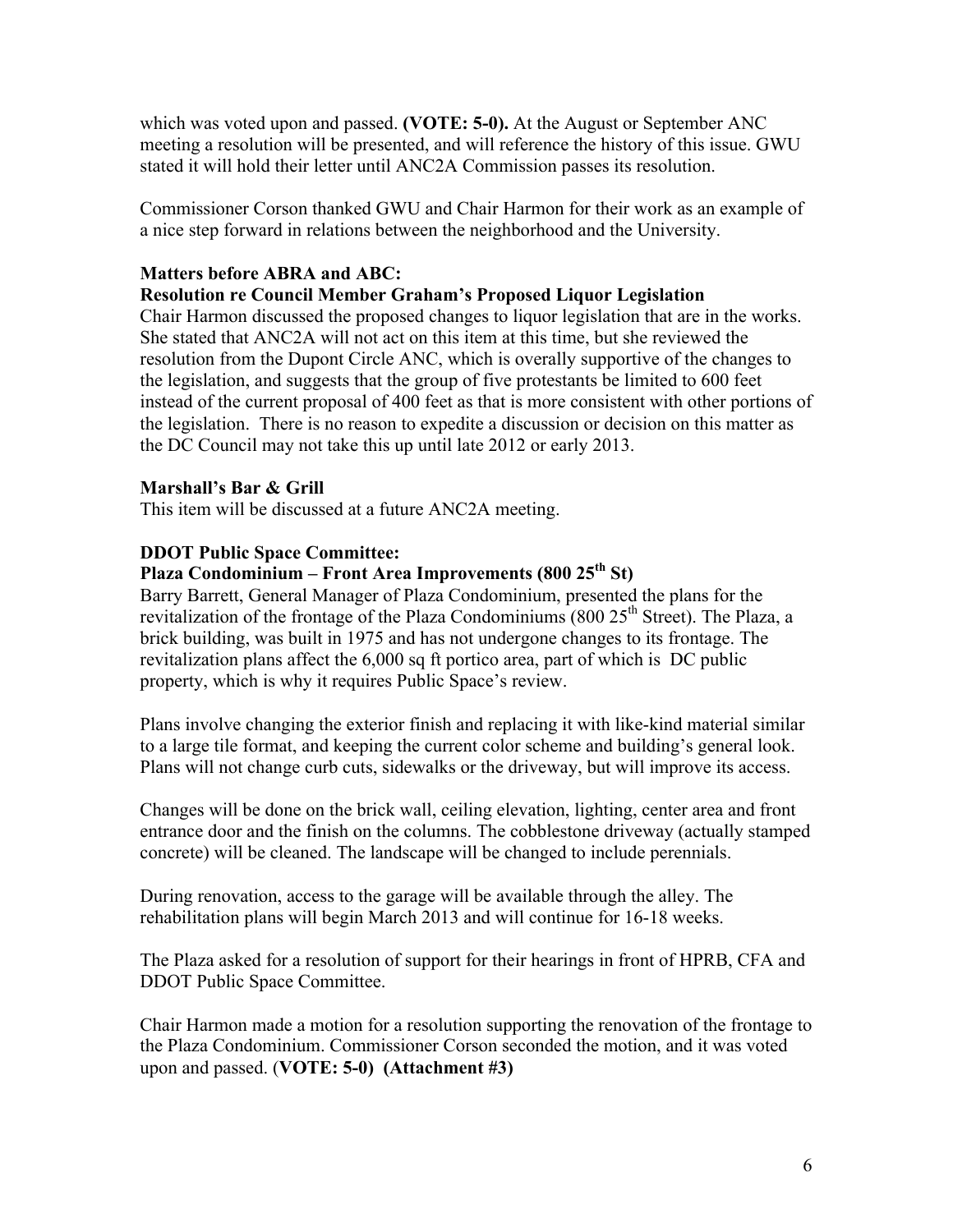which was voted upon and passed. **(VOTE: 5-0).** At the August or September ANC meeting a resolution will be presented, and will reference the history of this issue. GWU stated it will hold their letter until ANC2A Commission passes its resolution.

Commissioner Corson thanked GWU and Chair Harmon for their work as an example of a nice step forward in relations between the neighborhood and the University.

# **Matters before ABRA and ABC:**

# **Resolution re Council Member Graham's Proposed Liquor Legislation**

Chair Harmon discussed the proposed changes to liquor legislation that are in the works. She stated that ANC2A will not act on this item at this time, but she reviewed the resolution from the Dupont Circle ANC, which is overally supportive of the changes to the legislation, and suggests that the group of five protestants be limited to 600 feet instead of the current proposal of 400 feet as that is more consistent with other portions of the legislation. There is no reason to expedite a discussion or decision on this matter as the DC Council may not take this up until late 2012 or early 2013.

# **Marshall's Bar & Grill**

This item will be discussed at a future ANC2A meeting.

# **DDOT Public Space Committee:**

# **Plaza Condominium – Front Area Improvements (800 25th St)**

Barry Barrett, General Manager of Plaza Condominium, presented the plans for the revitalization of the frontage of the Plaza Condominiums (800 25<sup>th</sup> Street). The Plaza, a brick building, was built in 1975 and has not undergone changes to its frontage. The revitalization plans affect the 6,000 sq ft portico area, part of which is DC public property, which is why it requires Public Space's review.

Plans involve changing the exterior finish and replacing it with like-kind material similar to a large tile format, and keeping the current color scheme and building's general look. Plans will not change curb cuts, sidewalks or the driveway, but will improve its access.

Changes will be done on the brick wall, ceiling elevation, lighting, center area and front entrance door and the finish on the columns. The cobblestone driveway (actually stamped concrete) will be cleaned. The landscape will be changed to include perennials.

During renovation, access to the garage will be available through the alley. The rehabilitation plans will begin March 2013 and will continue for 16-18 weeks.

The Plaza asked for a resolution of support for their hearings in front of HPRB, CFA and DDOT Public Space Committee.

Chair Harmon made a motion for a resolution supporting the renovation of the frontage to the Plaza Condominium. Commissioner Corson seconded the motion, and it was voted upon and passed. (**VOTE: 5-0) (Attachment #3)**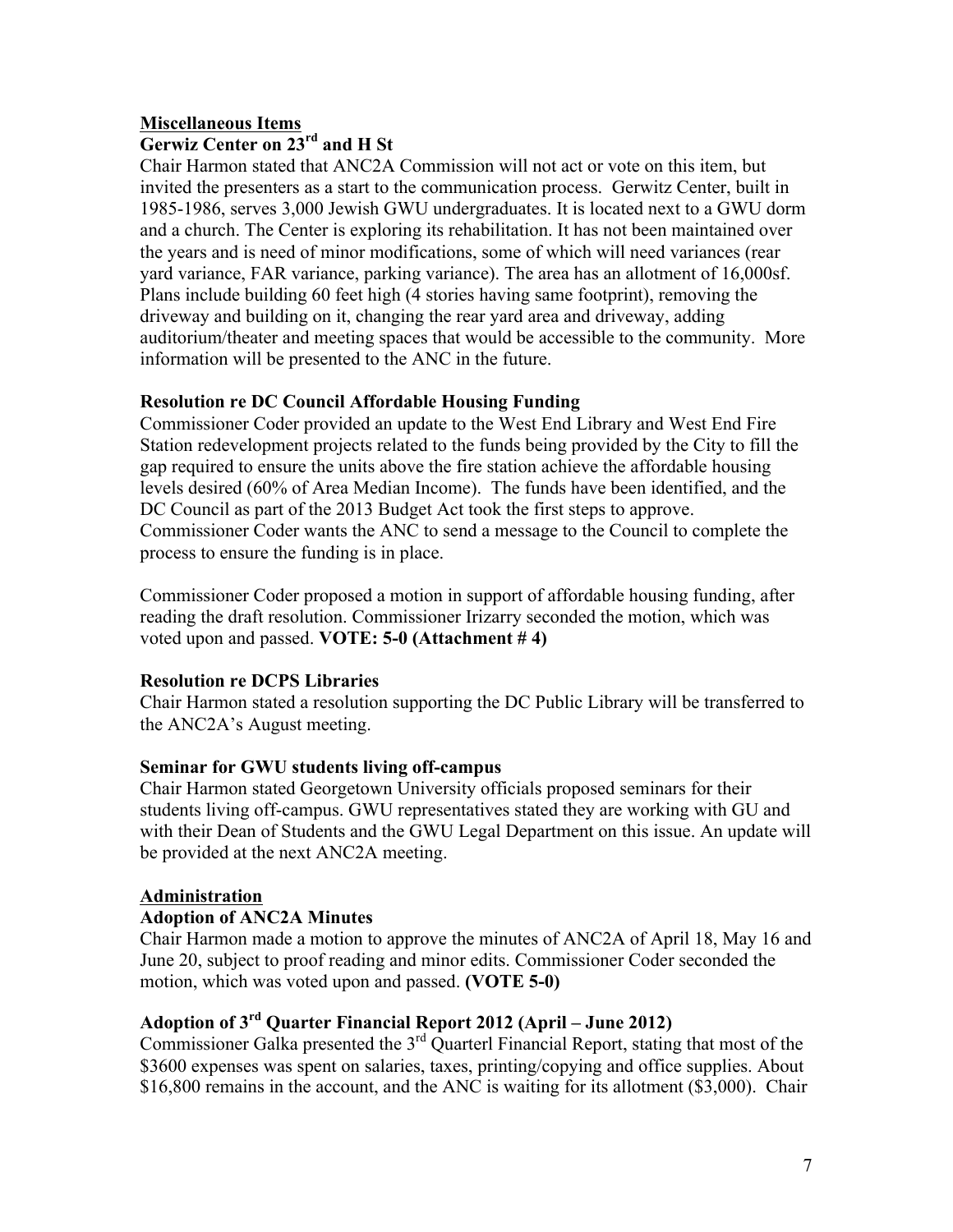# **Miscellaneous Items Gerwiz Center on 23rd and H St**

Chair Harmon stated that ANC2A Commission will not act or vote on this item, but invited the presenters as a start to the communication process. Gerwitz Center, built in 1985-1986, serves 3,000 Jewish GWU undergraduates. It is located next to a GWU dorm and a church. The Center is exploring its rehabilitation. It has not been maintained over the years and is need of minor modifications, some of which will need variances (rear yard variance, FAR variance, parking variance). The area has an allotment of 16,000sf. Plans include building 60 feet high (4 stories having same footprint), removing the driveway and building on it, changing the rear yard area and driveway, adding auditorium/theater and meeting spaces that would be accessible to the community. More information will be presented to the ANC in the future.

# **Resolution re DC Council Affordable Housing Funding**

Commissioner Coder provided an update to the West End Library and West End Fire Station redevelopment projects related to the funds being provided by the City to fill the gap required to ensure the units above the fire station achieve the affordable housing levels desired (60% of Area Median Income). The funds have been identified, and the DC Council as part of the 2013 Budget Act took the first steps to approve. Commissioner Coder wants the ANC to send a message to the Council to complete the process to ensure the funding is in place.

Commissioner Coder proposed a motion in support of affordable housing funding, after reading the draft resolution. Commissioner Irizarry seconded the motion, which was voted upon and passed. **VOTE: 5-0 (Attachment # 4)**

# **Resolution re DCPS Libraries**

Chair Harmon stated a resolution supporting the DC Public Library will be transferred to the ANC2A's August meeting.

# **Seminar for GWU students living off-campus**

Chair Harmon stated Georgetown University officials proposed seminars for their students living off-campus. GWU representatives stated they are working with GU and with their Dean of Students and the GWU Legal Department on this issue. An update will be provided at the next ANC2A meeting.

# **Administration**

# **Adoption of ANC2A Minutes**

Chair Harmon made a motion to approve the minutes of ANC2A of April 18, May 16 and June 20, subject to proof reading and minor edits. Commissioner Coder seconded the motion, which was voted upon and passed. **(VOTE 5-0)**

# **Adoption of 3rd Quarter Financial Report 2012 (April – June 2012)**

Commissioner Galka presented the  $3<sup>rd</sup>$  Quarterl Financial Report, stating that most of the \$3600 expenses was spent on salaries, taxes, printing/copying and office supplies. About \$16,800 remains in the account, and the ANC is waiting for its allotment (\$3,000). Chair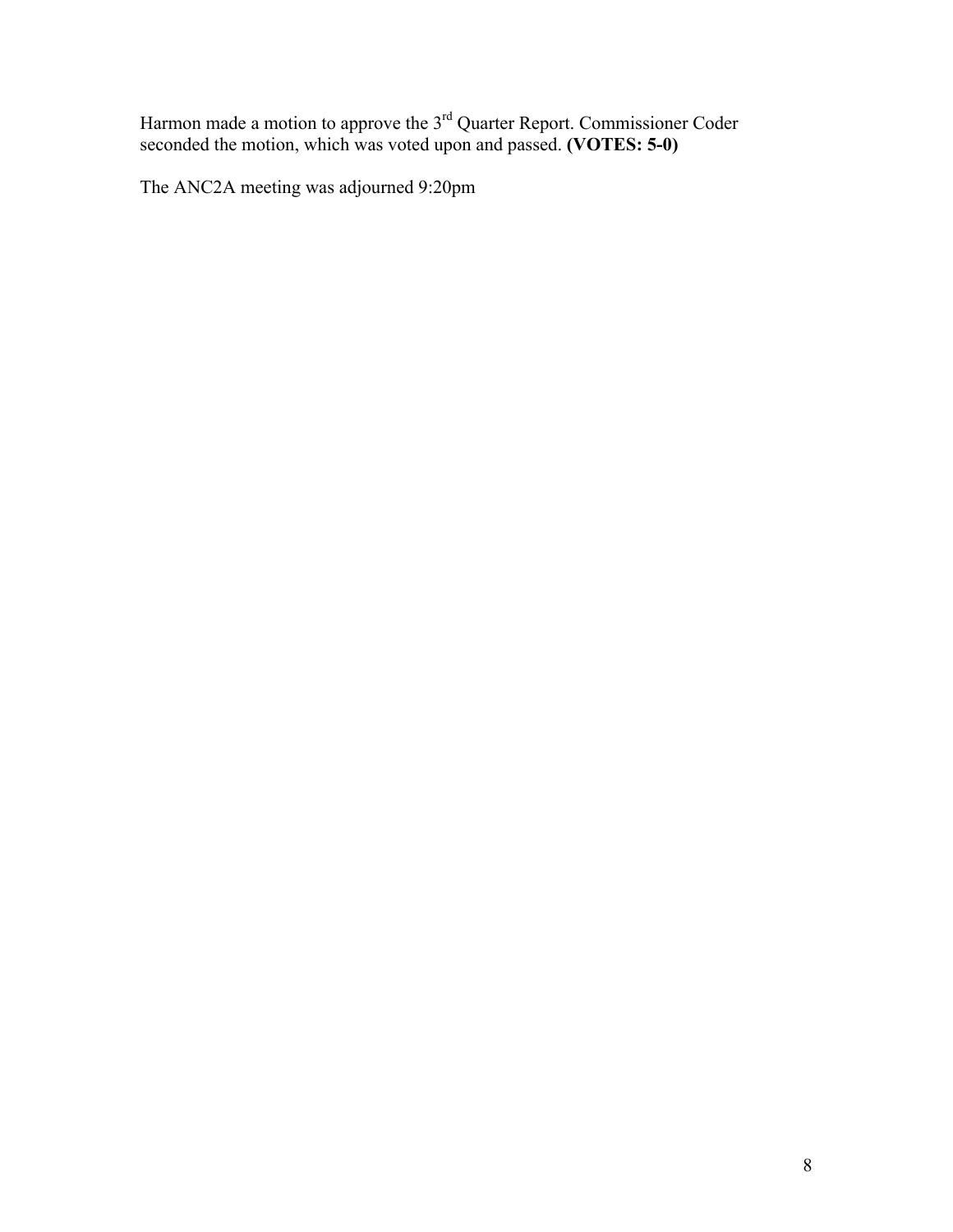Harmon made a motion to approve the  $3<sup>rd</sup>$  Quarter Report. Commissioner Coder seconded the motion, which was voted upon and passed. **(VOTES: 5-0)**

The ANC2A meeting was adjourned 9:20pm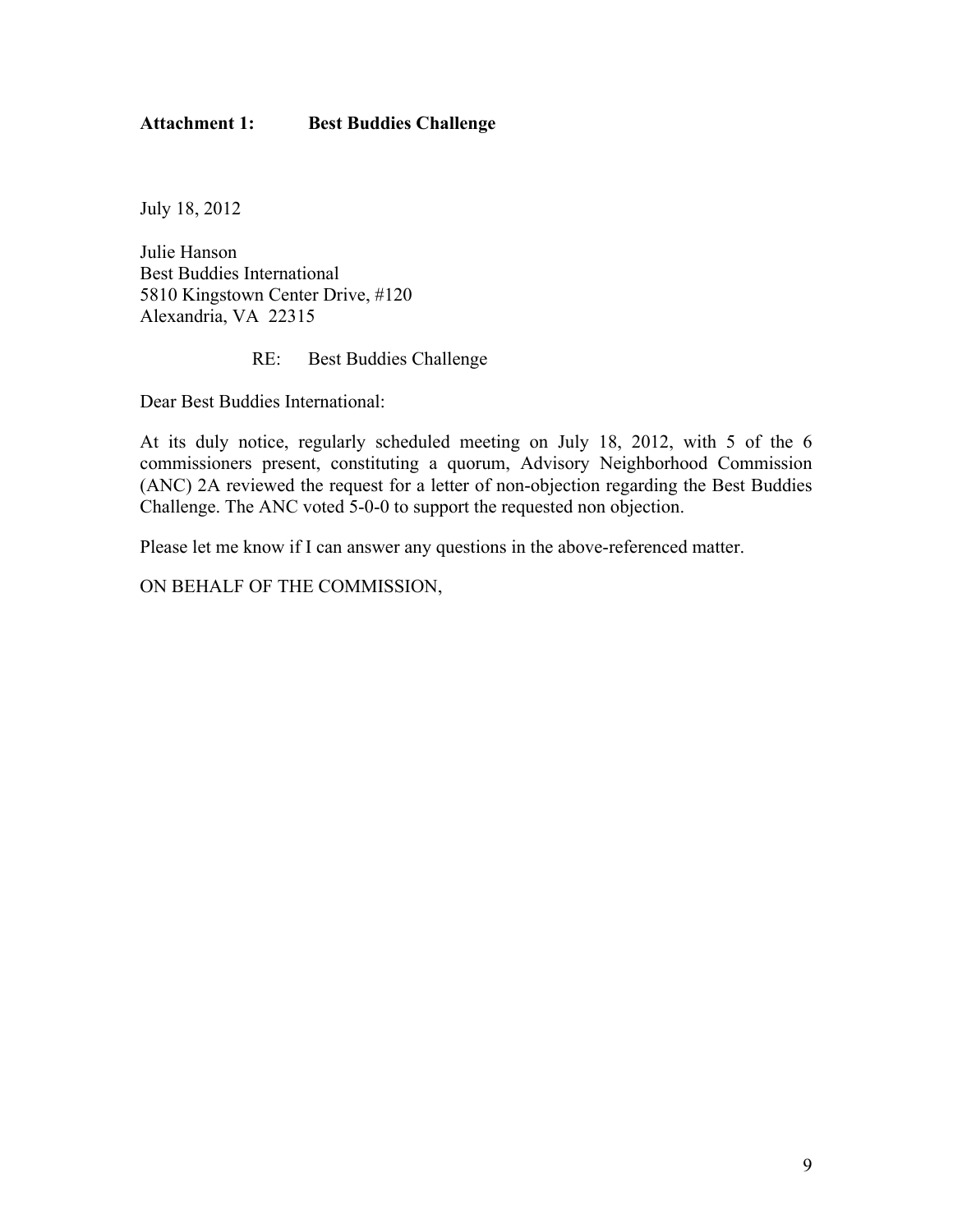# **Attachment 1: Best Buddies Challenge**

July 18, 2012

Julie Hanson Best Buddies International 5810 Kingstown Center Drive, #120 Alexandria, VA 22315

RE: Best Buddies Challenge

Dear Best Buddies International:

At its duly notice, regularly scheduled meeting on July 18, 2012, with 5 of the 6 commissioners present, constituting a quorum, Advisory Neighborhood Commission (ANC) 2A reviewed the request for a letter of non-objection regarding the Best Buddies Challenge. The ANC voted 5-0-0 to support the requested non objection.

Please let me know if I can answer any questions in the above-referenced matter.

ON BEHALF OF THE COMMISSION,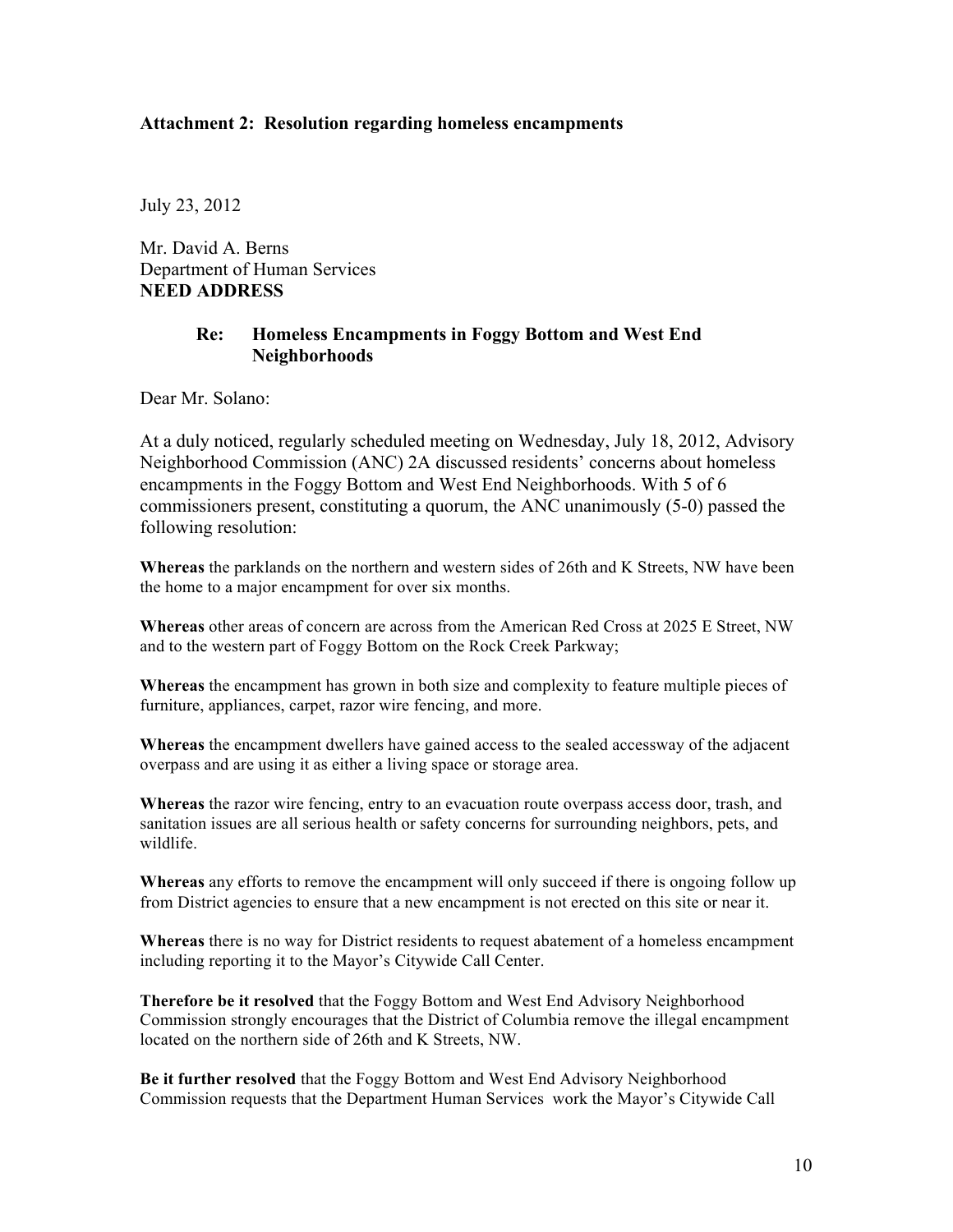#### **Attachment 2: Resolution regarding homeless encampments**

July 23, 2012

Mr. David A. Berns Department of Human Services **NEED ADDRESS**

## **Re: Homeless Encampments in Foggy Bottom and West End Neighborhoods**

Dear Mr. Solano:

At a duly noticed, regularly scheduled meeting on Wednesday, July 18, 2012, Advisory Neighborhood Commission (ANC) 2A discussed residents' concerns about homeless encampments in the Foggy Bottom and West End Neighborhoods. With 5 of 6 commissioners present, constituting a quorum, the ANC unanimously (5-0) passed the following resolution:

**Whereas** the parklands on the northern and western sides of 26th and K Streets, NW have been the home to a major encampment for over six months.

**Whereas** other areas of concern are across from the American Red Cross at 2025 E Street, NW and to the western part of Foggy Bottom on the Rock Creek Parkway;

**Whereas** the encampment has grown in both size and complexity to feature multiple pieces of furniture, appliances, carpet, razor wire fencing, and more.

**Whereas** the encampment dwellers have gained access to the sealed accessway of the adjacent overpass and are using it as either a living space or storage area.

**Whereas** the razor wire fencing, entry to an evacuation route overpass access door, trash, and sanitation issues are all serious health or safety concerns for surrounding neighbors, pets, and wildlife.

**Whereas** any efforts to remove the encampment will only succeed if there is ongoing follow up from District agencies to ensure that a new encampment is not erected on this site or near it.

**Whereas** there is no way for District residents to request abatement of a homeless encampment including reporting it to the Mayor's Citywide Call Center.

**Therefore be it resolved** that the Foggy Bottom and West End Advisory Neighborhood Commission strongly encourages that the District of Columbia remove the illegal encampment located on the northern side of 26th and K Streets, NW.

**Be it further resolved** that the Foggy Bottom and West End Advisory Neighborhood Commission requests that the Department Human Services work the Mayor's Citywide Call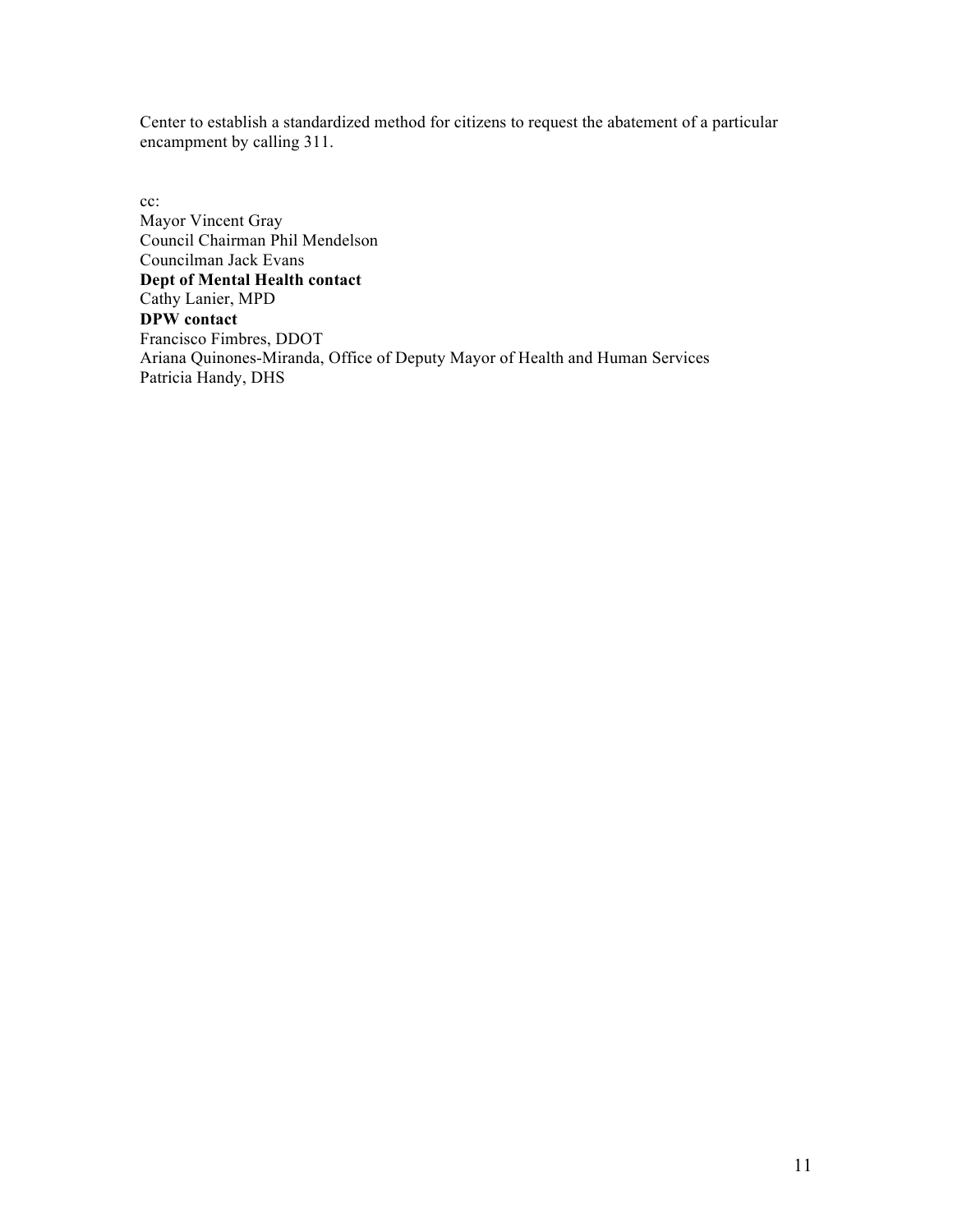Center to establish a standardized method for citizens to request the abatement of a particular encampment by calling 311.

cc: Mayor Vincent Gray Council Chairman Phil Mendelson Councilman Jack Evans **Dept of Mental Health contact** Cathy Lanier, MPD **DPW contact** Francisco Fimbres, DDOT Ariana Quinones-Miranda, Office of Deputy Mayor of Health and Human Services Patricia Handy, DHS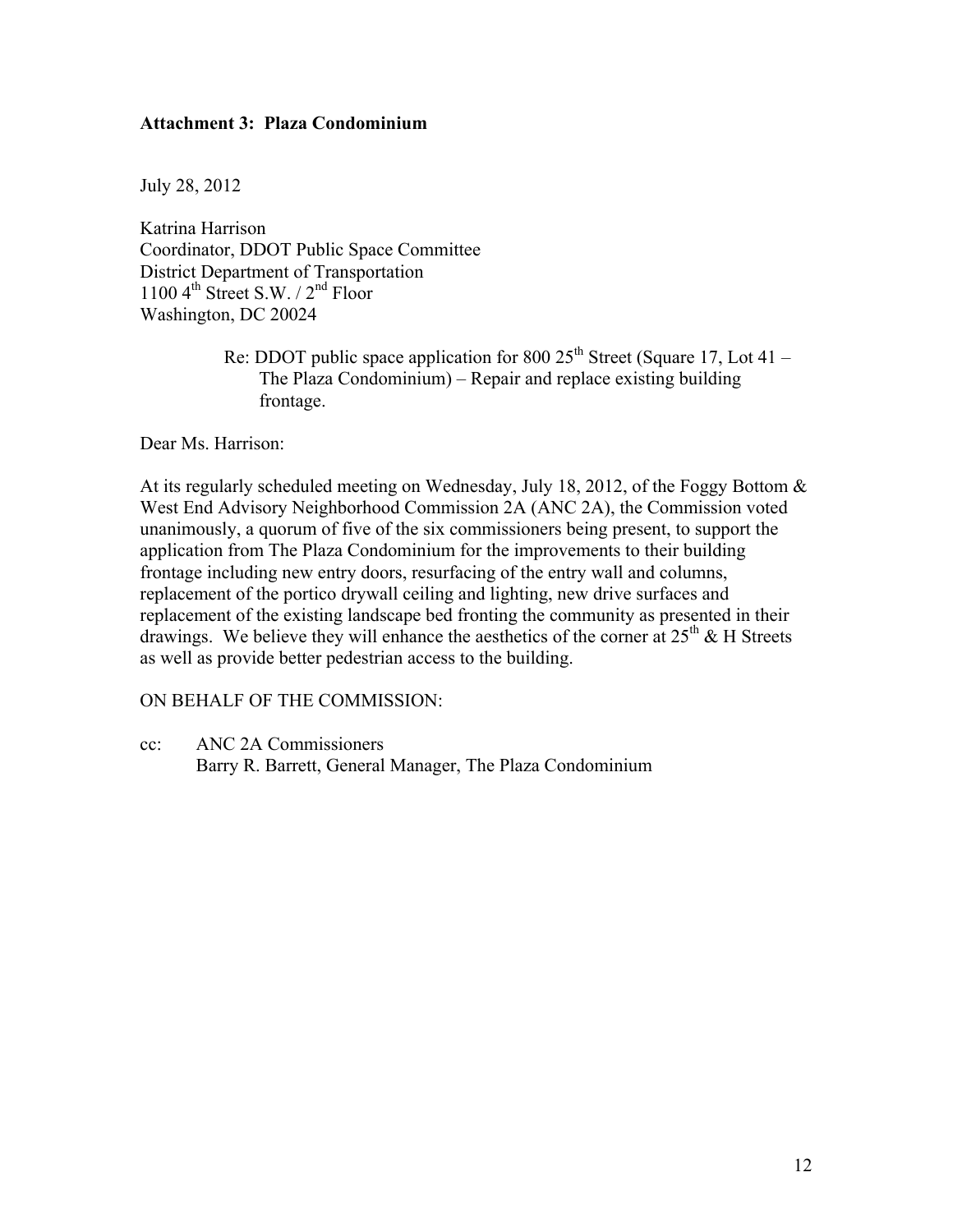# **Attachment 3: Plaza Condominium**

July 28, 2012

Katrina Harrison Coordinator, DDOT Public Space Committee District Department of Transportation 1100  $4^{th}$  Street S.W.  $/ 2^{nd}$  Floor Washington, DC 20024

> Re: DDOT public space application for 800  $25<sup>th</sup>$  Street (Square 17, Lot 41 – The Plaza Condominium) – Repair and replace existing building frontage.

Dear Ms. Harrison:

At its regularly scheduled meeting on Wednesday, July 18, 2012, of the Foggy Bottom & West End Advisory Neighborhood Commission 2A (ANC 2A), the Commission voted unanimously, a quorum of five of the six commissioners being present, to support the application from The Plaza Condominium for the improvements to their building frontage including new entry doors, resurfacing of the entry wall and columns, replacement of the portico drywall ceiling and lighting, new drive surfaces and replacement of the existing landscape bed fronting the community as presented in their drawings. We believe they will enhance the aesthetics of the corner at  $25<sup>th</sup>$  & H Streets as well as provide better pedestrian access to the building.

#### ON BEHALF OF THE COMMISSION:

cc: ANC 2A Commissioners Barry R. Barrett, General Manager, The Plaza Condominium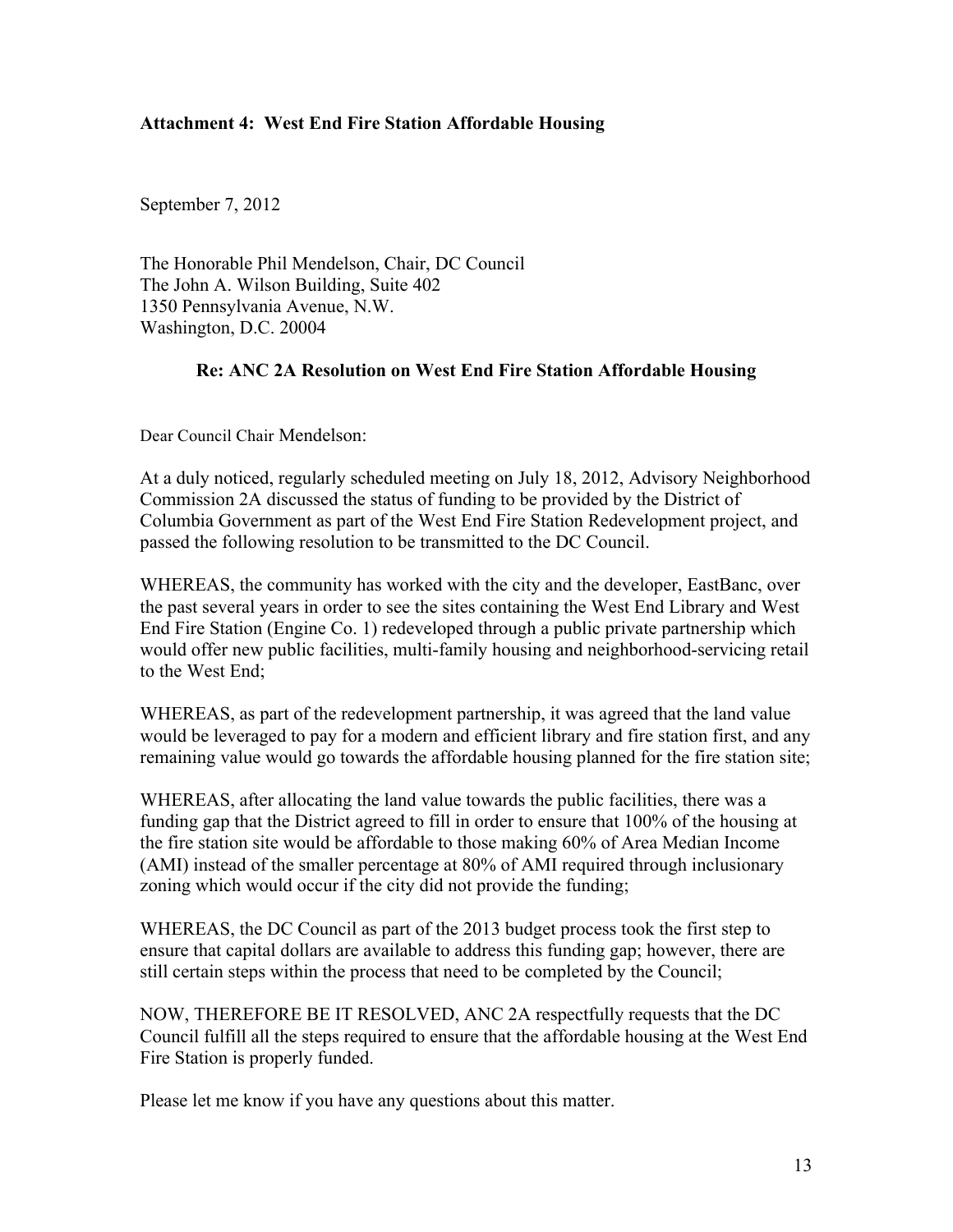## **Attachment 4: West End Fire Station Affordable Housing**

September 7, 2012

The Honorable Phil Mendelson, Chair, DC Council The John A. Wilson Building, Suite 402 1350 Pennsylvania Avenue, N.W. Washington, D.C. 20004

#### **Re: ANC 2A Resolution on West End Fire Station Affordable Housing**

Dear Council Chair Mendelson:

At a duly noticed, regularly scheduled meeting on July 18, 2012, Advisory Neighborhood Commission 2A discussed the status of funding to be provided by the District of Columbia Government as part of the West End Fire Station Redevelopment project, and passed the following resolution to be transmitted to the DC Council.

WHEREAS, the community has worked with the city and the developer, EastBanc, over the past several years in order to see the sites containing the West End Library and West End Fire Station (Engine Co. 1) redeveloped through a public private partnership which would offer new public facilities, multi-family housing and neighborhood-servicing retail to the West End;

WHEREAS, as part of the redevelopment partnership, it was agreed that the land value would be leveraged to pay for a modern and efficient library and fire station first, and any remaining value would go towards the affordable housing planned for the fire station site;

WHEREAS, after allocating the land value towards the public facilities, there was a funding gap that the District agreed to fill in order to ensure that 100% of the housing at the fire station site would be affordable to those making 60% of Area Median Income (AMI) instead of the smaller percentage at 80% of AMI required through inclusionary zoning which would occur if the city did not provide the funding;

WHEREAS, the DC Council as part of the 2013 budget process took the first step to ensure that capital dollars are available to address this funding gap; however, there are still certain steps within the process that need to be completed by the Council;

NOW, THEREFORE BE IT RESOLVED, ANC 2A respectfully requests that the DC Council fulfill all the steps required to ensure that the affordable housing at the West End Fire Station is properly funded.

Please let me know if you have any questions about this matter.